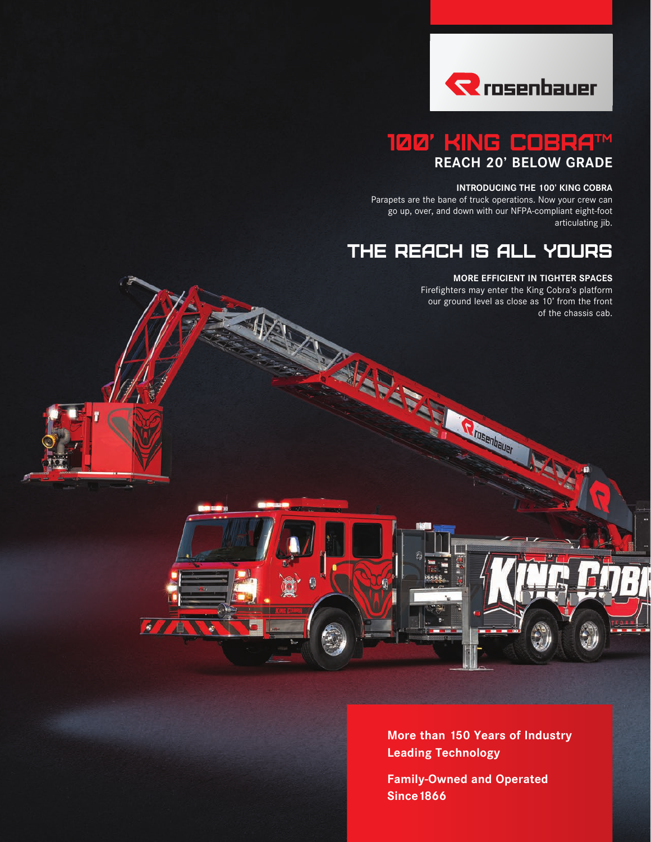

## 100' KING COBRA™ **REACH 20' BELOW GRADE**

#### **INTRODUCING THE 100' KING COBRA**

Parapets are the bane of truck operations. Now your crew can go up, over, and down with our NFPA-compliant eight-foot articulating jib.

# THE REACH IS ALL YOURS

**C** Insertially

年

Ü

 $\mathcal{L}$ 

45

#### **MORE EFFICIENT IN TIGHTER SPACES**

Firefighters may enter the King Cobra's platform our ground level as close as 10' from the front of the chassis cab.



**Family-Owned and Operated Since1866**